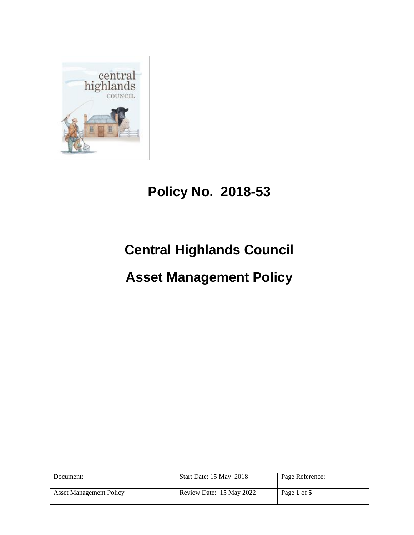

## **Policy No. 2018-53**

# **Central Highlands Council**

### **Asset Management Policy**

| Document:                      | Start Date: 15 May 2018  | Page Reference: |
|--------------------------------|--------------------------|-----------------|
| <b>Asset Management Policy</b> | Review Date: 15 May 2022 | Page 1 of 5     |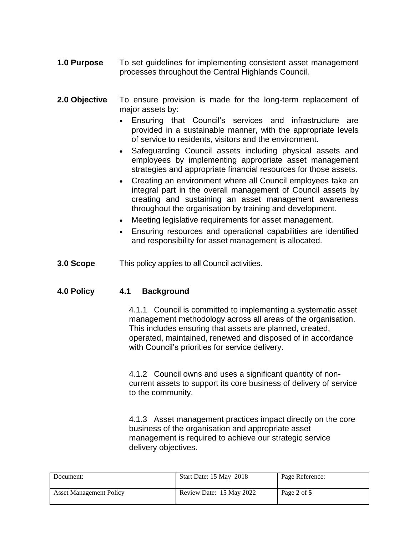- **1.0 Purpose** To set guidelines for implementing consistent asset management processes throughout the Central Highlands Council.
- **2.0 Objective** To ensure provision is made for the long-term replacement of major assets by:
	- Ensuring that Council's services and infrastructure are provided in a sustainable manner, with the appropriate levels of service to residents, visitors and the environment.
	- Safeguarding Council assets including physical assets and employees by implementing appropriate asset management strategies and appropriate financial resources for those assets.
	- Creating an environment where all Council employees take an integral part in the overall management of Council assets by creating and sustaining an asset management awareness throughout the organisation by training and development.
	- Meeting legislative requirements for asset management.
	- Ensuring resources and operational capabilities are identified and responsibility for asset management is allocated.
- **3.0 Scope** This policy applies to all Council activities.

### **4.0 Policy 4.1 Background**

4.1.1 Council is committed to implementing a systematic asset management methodology across all areas of the organisation. This includes ensuring that assets are planned, created, operated, maintained, renewed and disposed of in accordance with Council's priorities for service delivery.

4.1.2 Council owns and uses a significant quantity of noncurrent assets to support its core business of delivery of service to the community.

4.1.3 Asset management practices impact directly on the core business of the organisation and appropriate asset management is required to achieve our strategic service delivery objectives.

| Document:                      | Start Date: 15 May 2018  | Page Reference: |
|--------------------------------|--------------------------|-----------------|
| <b>Asset Management Policy</b> | Review Date: 15 May 2022 | Page 2 of 5     |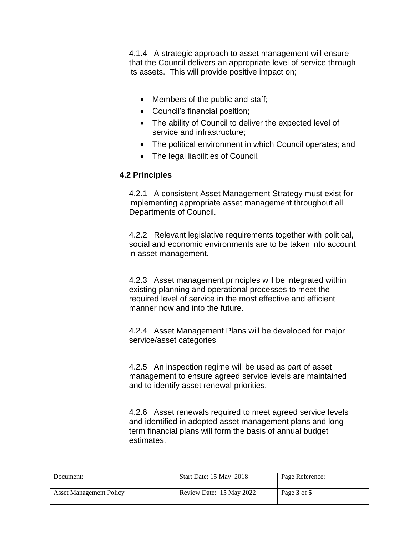4.1.4 A strategic approach to asset management will ensure that the Council delivers an appropriate level of service through its assets. This will provide positive impact on;

- Members of the public and staff;
- Council's financial position;
- The ability of Council to deliver the expected level of service and infrastructure;
- The political environment in which Council operates; and
- The legal liabilities of Council.

### **4.2 Principles**

4.2.1 A consistent Asset Management Strategy must exist for implementing appropriate asset management throughout all Departments of Council.

4.2.2 Relevant legislative requirements together with political, social and economic environments are to be taken into account in asset management.

4.2.3 Asset management principles will be integrated within existing planning and operational processes to meet the required level of service in the most effective and efficient manner now and into the future.

4.2.4 Asset Management Plans will be developed for major service/asset categories

4.2.5 An inspection regime will be used as part of asset management to ensure agreed service levels are maintained and to identify asset renewal priorities.

4.2.6 Asset renewals required to meet agreed service levels and identified in adopted asset management plans and long term financial plans will form the basis of annual budget estimates.

| Document:                      | Start Date: 15 May 2018  | Page Reference: |
|--------------------------------|--------------------------|-----------------|
| <b>Asset Management Policy</b> | Review Date: 15 May 2022 | Page 3 of 5     |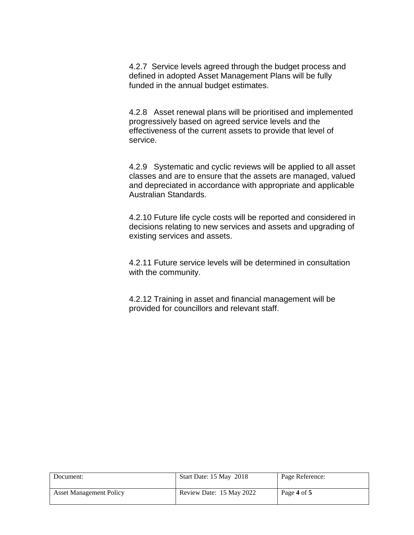4.2.7 Service levels agreed through the budget process and defined in adopted Asset Management Plans will be fully funded in the annual budget estimates.

4.2.8 Asset renewal plans will be prioritised and implemented progressively based on agreed service levels and the effectiveness of the current assets to provide that level of service.

4.2.9 Systematic and cyclic reviews will be applied to all asset classes and are to ensure that the assets are managed, valued and depreciated in accordance with appropriate and applicable Australian Standards.

4.2.10 Future life cycle costs will be reported and considered in decisions relating to new services and assets and upgrading of existing services and assets.

4.2.11 Future service levels will be determined in consultation with the community.

4.2.12 Training in asset and financial management will be provided for councillors and relevant staff.

| Document:                      | Start Date: 15 May 2018  | Page Reference: |
|--------------------------------|--------------------------|-----------------|
| <b>Asset Management Policy</b> | Review Date: 15 May 2022 | Page 4 of 5     |